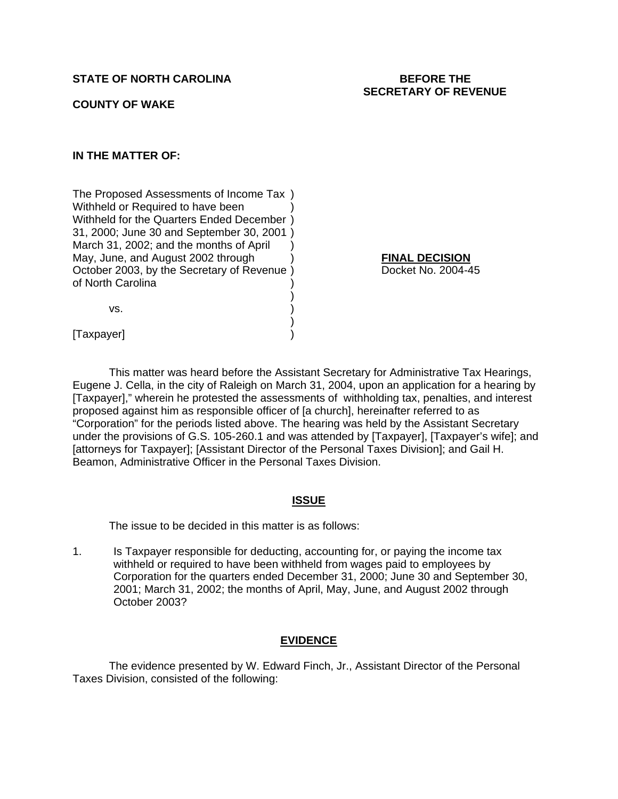**COUNTY OF WAKE** 

# **IN THE MATTER OF:**

The Proposed Assessments of Income Tax ) Withheld or Required to have been Withheld for the Quarters Ended December ) 31, 2000; June 30 and September 30, 2001 ) March 31, 2002; and the months of April May, June, and August 2002 through ) **FINAL DECISION** October 2003, by the Secretary of Revenue ) Docket No. 2004-45 of North Carolina )

 $)$ 

 $\mathsf{vs.} \hspace{2em} \Big)$ 

 $)$ [Taxpayer]

This matter was heard before the Assistant Secretary for Administrative Tax Hearings, Eugene J. Cella, in the city of Raleigh on March 31, 2004, upon an application for a hearing by [Taxpayer]," wherein he protested the assessments of withholding tax, penalties, and interest proposed against him as responsible officer of [a church], hereinafter referred to as "Corporation" for the periods listed above. The hearing was held by the Assistant Secretary under the provisions of G.S. 105-260.1 and was attended by [Taxpayer], [Taxpayer's wife]; and [attorneys for Taxpayer]; [Assistant Director of the Personal Taxes Division]; and Gail H. Beamon, Administrative Officer in the Personal Taxes Division.

# **ISSUE**

The issue to be decided in this matter is as follows:

1. Is Taxpayer responsible for deducting, accounting for, or paying the income tax withheld or required to have been withheld from wages paid to employees by Corporation for the quarters ended December 31, 2000; June 30 and September 30, 2001; March 31, 2002; the months of April, May, June, and August 2002 through October 2003?

# **EVIDENCE**

 The evidence presented by W. Edward Finch, Jr., Assistant Director of the Personal Taxes Division, consisted of the following: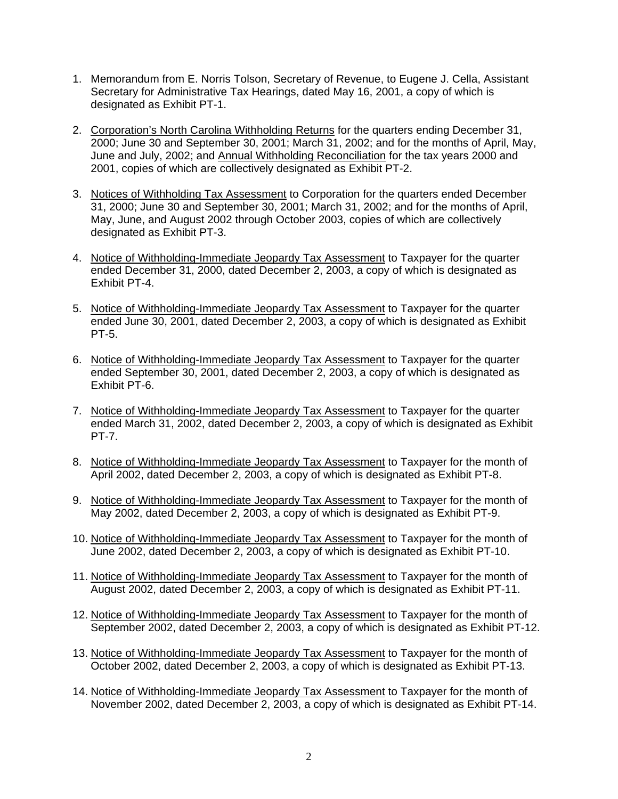- 1. Memorandum from E. Norris Tolson, Secretary of Revenue, to Eugene J. Cella, Assistant Secretary for Administrative Tax Hearings, dated May 16, 2001, a copy of which is designated as Exhibit PT-1.
- 2. Corporation's North Carolina Withholding Returns for the quarters ending December 31, 2000; June 30 and September 30, 2001; March 31, 2002; and for the months of April, May, June and July, 2002; and Annual Withholding Reconciliation for the tax years 2000 and 2001, copies of which are collectively designated as Exhibit PT-2.
- 3. Notices of Withholding Tax Assessment to Corporation for the quarters ended December 31, 2000; June 30 and September 30, 2001; March 31, 2002; and for the months of April, May, June, and August 2002 through October 2003, copies of which are collectively designated as Exhibit PT-3.
- 4. Notice of Withholding-Immediate Jeopardy Tax Assessment to Taxpayer for the quarter ended December 31, 2000, dated December 2, 2003, a copy of which is designated as Exhibit PT-4.
- 5. Notice of Withholding-Immediate Jeopardy Tax Assessment to Taxpayer for the quarter ended June 30, 2001, dated December 2, 2003, a copy of which is designated as Exhibit PT-5.
- 6. Notice of Withholding-Immediate Jeopardy Tax Assessment to Taxpayer for the quarter ended September 30, 2001, dated December 2, 2003, a copy of which is designated as Exhibit PT-6.
- 7. Notice of Withholding-Immediate Jeopardy Tax Assessment to Taxpayer for the quarter ended March 31, 2002, dated December 2, 2003, a copy of which is designated as Exhibit PT-7.
- 8. Notice of Withholding-Immediate Jeopardy Tax Assessment to Taxpayer for the month of April 2002, dated December 2, 2003, a copy of which is designated as Exhibit PT-8.
- 9. Notice of Withholding-Immediate Jeopardy Tax Assessment to Taxpayer for the month of May 2002, dated December 2, 2003, a copy of which is designated as Exhibit PT-9.
- 10. Notice of Withholding-Immediate Jeopardy Tax Assessment to Taxpayer for the month of June 2002, dated December 2, 2003, a copy of which is designated as Exhibit PT-10.
- 11. Notice of Withholding-Immediate Jeopardy Tax Assessment to Taxpayer for the month of August 2002, dated December 2, 2003, a copy of which is designated as Exhibit PT-11.
- 12. Notice of Withholding-Immediate Jeopardy Tax Assessment to Taxpayer for the month of September 2002, dated December 2, 2003, a copy of which is designated as Exhibit PT-12.
- 13. Notice of Withholding-Immediate Jeopardy Tax Assessment to Taxpayer for the month of October 2002, dated December 2, 2003, a copy of which is designated as Exhibit PT-13.
- 14. Notice of Withholding-Immediate Jeopardy Tax Assessment to Taxpayer for the month of November 2002, dated December 2, 2003, a copy of which is designated as Exhibit PT-14.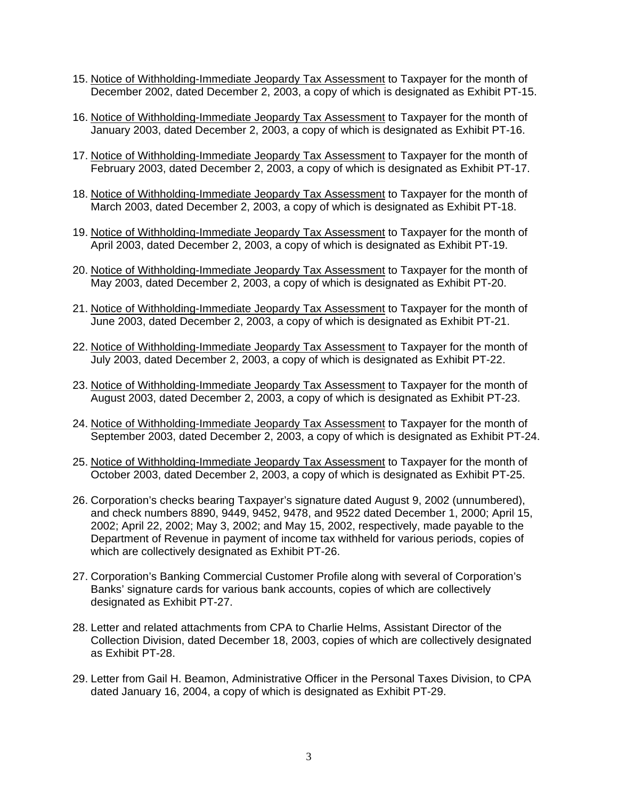- 15. Notice of Withholding-Immediate Jeopardy Tax Assessment to Taxpayer for the month of December 2002, dated December 2, 2003, a copy of which is designated as Exhibit PT-15.
- 16. Notice of Withholding-Immediate Jeopardy Tax Assessment to Taxpayer for the month of January 2003, dated December 2, 2003, a copy of which is designated as Exhibit PT-16.
- 17. Notice of Withholding-Immediate Jeopardy Tax Assessment to Taxpayer for the month of February 2003, dated December 2, 2003, a copy of which is designated as Exhibit PT-17.
- 18. Notice of Withholding-Immediate Jeopardy Tax Assessment to Taxpayer for the month of March 2003, dated December 2, 2003, a copy of which is designated as Exhibit PT-18.
- 19. Notice of Withholding-Immediate Jeopardy Tax Assessment to Taxpayer for the month of April 2003, dated December 2, 2003, a copy of which is designated as Exhibit PT-19.
- 20. Notice of Withholding-Immediate Jeopardy Tax Assessment to Taxpayer for the month of May 2003, dated December 2, 2003, a copy of which is designated as Exhibit PT-20.
- 21. Notice of Withholding-Immediate Jeopardy Tax Assessment to Taxpayer for the month of June 2003, dated December 2, 2003, a copy of which is designated as Exhibit PT-21.
- 22. Notice of Withholding-Immediate Jeopardy Tax Assessment to Taxpayer for the month of July 2003, dated December 2, 2003, a copy of which is designated as Exhibit PT-22.
- 23. Notice of Withholding-Immediate Jeopardy Tax Assessment to Taxpayer for the month of August 2003, dated December 2, 2003, a copy of which is designated as Exhibit PT-23.
- 24. Notice of Withholding-Immediate Jeopardy Tax Assessment to Taxpayer for the month of September 2003, dated December 2, 2003, a copy of which is designated as Exhibit PT-24.
- 25. Notice of Withholding-Immediate Jeopardy Tax Assessment to Taxpayer for the month of October 2003, dated December 2, 2003, a copy of which is designated as Exhibit PT-25.
- 26. Corporation's checks bearing Taxpayer's signature dated August 9, 2002 (unnumbered), and check numbers 8890, 9449, 9452, 9478, and 9522 dated December 1, 2000; April 15, 2002; April 22, 2002; May 3, 2002; and May 15, 2002, respectively, made payable to the Department of Revenue in payment of income tax withheld for various periods, copies of which are collectively designated as Exhibit PT-26.
- 27. Corporation's Banking Commercial Customer Profile along with several of Corporation's Banks' signature cards for various bank accounts, copies of which are collectively designated as Exhibit PT-27.
- 28. Letter and related attachments from CPA to Charlie Helms, Assistant Director of the Collection Division, dated December 18, 2003, copies of which are collectively designated as Exhibit PT-28.
- 29. Letter from Gail H. Beamon, Administrative Officer in the Personal Taxes Division, to CPA dated January 16, 2004, a copy of which is designated as Exhibit PT-29.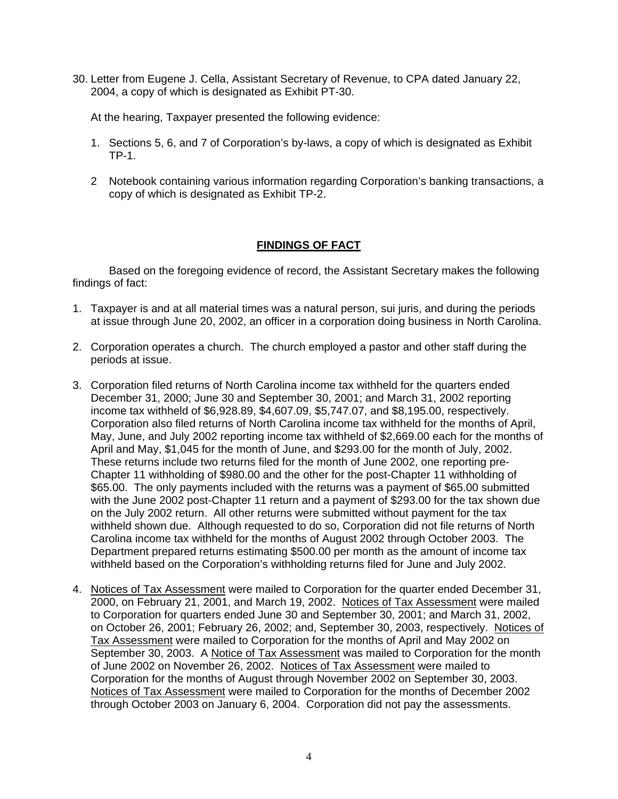30. Letter from Eugene J. Cella, Assistant Secretary of Revenue, to CPA dated January 22, 2004, a copy of which is designated as Exhibit PT-30.

At the hearing, Taxpayer presented the following evidence:

- 1. Sections 5, 6, and 7 of Corporation's by-laws, a copy of which is designated as Exhibit TP-1.
- 2 Notebook containing various information regarding Corporation's banking transactions, a copy of which is designated as Exhibit TP-2.

# **FINDINGS OF FACT**

Based on the foregoing evidence of record, the Assistant Secretary makes the following findings of fact:

- 1. Taxpayer is and at all material times was a natural person, sui juris, and during the periods at issue through June 20, 2002, an officer in a corporation doing business in North Carolina.
- 2. Corporation operates a church. The church employed a pastor and other staff during the periods at issue.
- 3. Corporation filed returns of North Carolina income tax withheld for the quarters ended December 31, 2000; June 30 and September 30, 2001; and March 31, 2002 reporting income tax withheld of \$6,928.89, \$4,607.09, \$5,747.07, and \$8,195.00, respectively. Corporation also filed returns of North Carolina income tax withheld for the months of April, May, June, and July 2002 reporting income tax withheld of \$2,669.00 each for the months of April and May, \$1,045 for the month of June, and \$293.00 for the month of July, 2002. These returns include two returns filed for the month of June 2002, one reporting pre-Chapter 11 withholding of \$980.00 and the other for the post-Chapter 11 withholding of \$65.00. The only payments included with the returns was a payment of \$65.00 submitted with the June 2002 post-Chapter 11 return and a payment of \$293.00 for the tax shown due on the July 2002 return. All other returns were submitted without payment for the tax withheld shown due. Although requested to do so, Corporation did not file returns of North Carolina income tax withheld for the months of August 2002 through October 2003. The Department prepared returns estimating \$500.00 per month as the amount of income tax withheld based on the Corporation's withholding returns filed for June and July 2002.
- 4. Notices of Tax Assessment were mailed to Corporation for the quarter ended December 31, 2000, on February 21, 2001, and March 19, 2002. Notices of Tax Assessment were mailed to Corporation for quarters ended June 30 and September 30, 2001; and March 31, 2002, on October 26, 2001; February 26, 2002; and, September 30, 2003, respectively. Notices of Tax Assessment were mailed to Corporation for the months of April and May 2002 on September 30, 2003. A Notice of Tax Assessment was mailed to Corporation for the month of June 2002 on November 26, 2002. Notices of Tax Assessment were mailed to Corporation for the months of August through November 2002 on September 30, 2003. Notices of Tax Assessment were mailed to Corporation for the months of December 2002 through October 2003 on January 6, 2004. Corporation did not pay the assessments.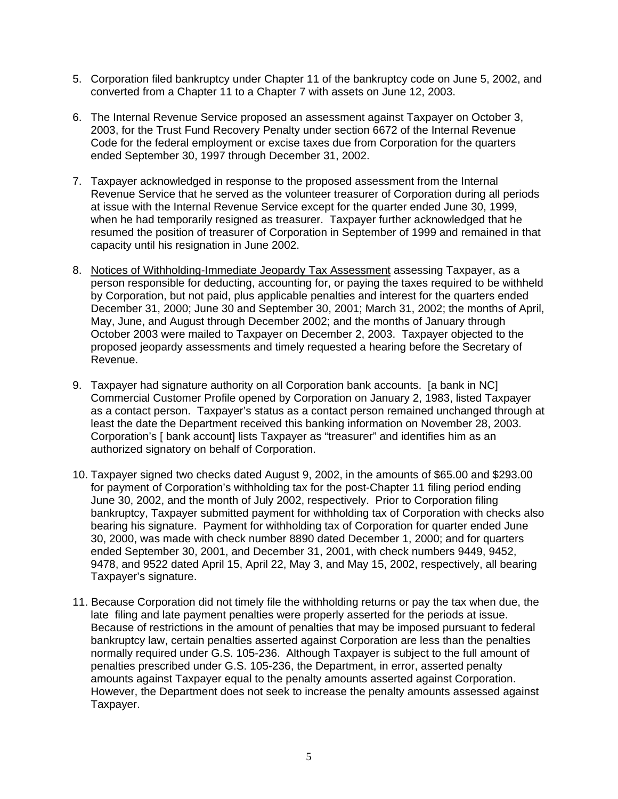- 5. Corporation filed bankruptcy under Chapter 11 of the bankruptcy code on June 5, 2002, and converted from a Chapter 11 to a Chapter 7 with assets on June 12, 2003.
- 6. The Internal Revenue Service proposed an assessment against Taxpayer on October 3, 2003, for the Trust Fund Recovery Penalty under section 6672 of the Internal Revenue Code for the federal employment or excise taxes due from Corporation for the quarters ended September 30, 1997 through December 31, 2002.
- 7. Taxpayer acknowledged in response to the proposed assessment from the Internal Revenue Service that he served as the volunteer treasurer of Corporation during all periods at issue with the Internal Revenue Service except for the quarter ended June 30, 1999, when he had temporarily resigned as treasurer. Taxpayer further acknowledged that he resumed the position of treasurer of Corporation in September of 1999 and remained in that capacity until his resignation in June 2002.
- 8. Notices of Withholding-Immediate Jeopardy Tax Assessment assessing Taxpayer, as a person responsible for deducting, accounting for, or paying the taxes required to be withheld by Corporation, but not paid, plus applicable penalties and interest for the quarters ended December 31, 2000; June 30 and September 30, 2001; March 31, 2002; the months of April, May, June, and August through December 2002; and the months of January through October 2003 were mailed to Taxpayer on December 2, 2003. Taxpayer objected to the proposed jeopardy assessments and timely requested a hearing before the Secretary of Revenue.
- 9. Taxpayer had signature authority on all Corporation bank accounts. [a bank in NC] Commercial Customer Profile opened by Corporation on January 2, 1983, listed Taxpayer as a contact person. Taxpayer's status as a contact person remained unchanged through at least the date the Department received this banking information on November 28, 2003. Corporation's [ bank account] lists Taxpayer as "treasurer" and identifies him as an authorized signatory on behalf of Corporation.
- 10. Taxpayer signed two checks dated August 9, 2002, in the amounts of \$65.00 and \$293.00 for payment of Corporation's withholding tax for the post-Chapter 11 filing period ending June 30, 2002, and the month of July 2002, respectively. Prior to Corporation filing bankruptcy, Taxpayer submitted payment for withholding tax of Corporation with checks also bearing his signature. Payment for withholding tax of Corporation for quarter ended June 30, 2000, was made with check number 8890 dated December 1, 2000; and for quarters ended September 30, 2001, and December 31, 2001, with check numbers 9449, 9452, 9478, and 9522 dated April 15, April 22, May 3, and May 15, 2002, respectively, all bearing Taxpayer's signature.
- 11. Because Corporation did not timely file the withholding returns or pay the tax when due, the late filing and late payment penalties were properly asserted for the periods at issue. Because of restrictions in the amount of penalties that may be imposed pursuant to federal bankruptcy law, certain penalties asserted against Corporation are less than the penalties normally required under G.S. 105-236. Although Taxpayer is subject to the full amount of penalties prescribed under G.S. 105-236, the Department, in error, asserted penalty amounts against Taxpayer equal to the penalty amounts asserted against Corporation. However, the Department does not seek to increase the penalty amounts assessed against Taxpayer.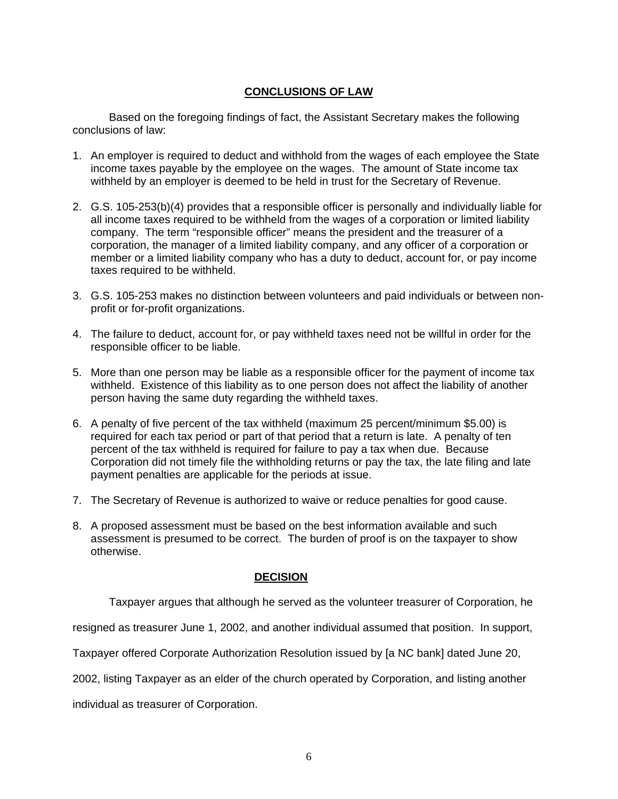# **CONCLUSIONS OF LAW**

Based on the foregoing findings of fact, the Assistant Secretary makes the following conclusions of law:

- 1. An employer is required to deduct and withhold from the wages of each employee the State income taxes payable by the employee on the wages. The amount of State income tax withheld by an employer is deemed to be held in trust for the Secretary of Revenue.
- 2. G.S. 105-253(b)(4) provides that a responsible officer is personally and individually liable for all income taxes required to be withheld from the wages of a corporation or limited liability company. The term "responsible officer" means the president and the treasurer of a corporation, the manager of a limited liability company, and any officer of a corporation or member or a limited liability company who has a duty to deduct, account for, or pay income taxes required to be withheld.
- 3. G.S. 105-253 makes no distinction between volunteers and paid individuals or between nonprofit or for-profit organizations.
- 4. The failure to deduct, account for, or pay withheld taxes need not be willful in order for the responsible officer to be liable.
- 5. More than one person may be liable as a responsible officer for the payment of income tax withheld. Existence of this liability as to one person does not affect the liability of another person having the same duty regarding the withheld taxes.
- 6. A penalty of five percent of the tax withheld (maximum 25 percent/minimum \$5.00) is required for each tax period or part of that period that a return is late. A penalty of ten percent of the tax withheld is required for failure to pay a tax when due. Because Corporation did not timely file the withholding returns or pay the tax, the late filing and late payment penalties are applicable for the periods at issue.
- 7. The Secretary of Revenue is authorized to waive or reduce penalties for good cause.
- 8. A proposed assessment must be based on the best information available and such assessment is presumed to be correct. The burden of proof is on the taxpayer to show otherwise.

# **DECISION**

Taxpayer argues that although he served as the volunteer treasurer of Corporation, he

resigned as treasurer June 1, 2002, and another individual assumed that position. In support,

Taxpayer offered Corporate Authorization Resolution issued by [a NC bank] dated June 20,

2002, listing Taxpayer as an elder of the church operated by Corporation, and listing another

individual as treasurer of Corporation.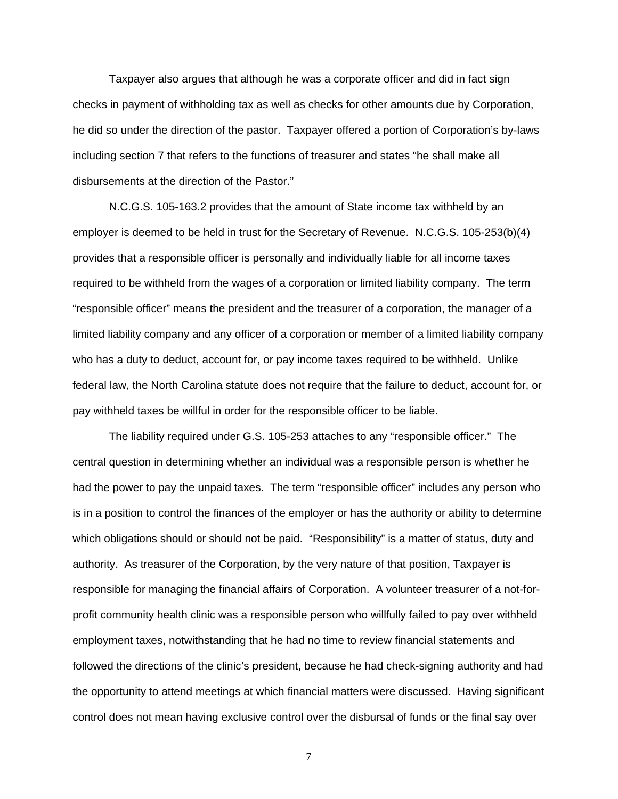Taxpayer also argues that although he was a corporate officer and did in fact sign checks in payment of withholding tax as well as checks for other amounts due by Corporation, he did so under the direction of the pastor. Taxpayer offered a portion of Corporation's by-laws including section 7 that refers to the functions of treasurer and states "he shall make all disbursements at the direction of the Pastor."

N.C.G.S. 105-163.2 provides that the amount of State income tax withheld by an employer is deemed to be held in trust for the Secretary of Revenue. N.C.G.S. 105-253(b)(4) provides that a responsible officer is personally and individually liable for all income taxes required to be withheld from the wages of a corporation or limited liability company. The term "responsible officer" means the president and the treasurer of a corporation, the manager of a limited liability company and any officer of a corporation or member of a limited liability company who has a duty to deduct, account for, or pay income taxes required to be withheld. Unlike federal law, the North Carolina statute does not require that the failure to deduct, account for, or pay withheld taxes be willful in order for the responsible officer to be liable.

The liability required under G.S. 105-253 attaches to any "responsible officer." The central question in determining whether an individual was a responsible person is whether he had the power to pay the unpaid taxes. The term "responsible officer" includes any person who is in a position to control the finances of the employer or has the authority or ability to determine which obligations should or should not be paid. "Responsibility" is a matter of status, duty and authority. As treasurer of the Corporation, by the very nature of that position, Taxpayer is responsible for managing the financial affairs of Corporation. A volunteer treasurer of a not-forprofit community health clinic was a responsible person who willfully failed to pay over withheld employment taxes, notwithstanding that he had no time to review financial statements and followed the directions of the clinic's president, because he had check-signing authority and had the opportunity to attend meetings at which financial matters were discussed. Having significant control does not mean having exclusive control over the disbursal of funds or the final say over

7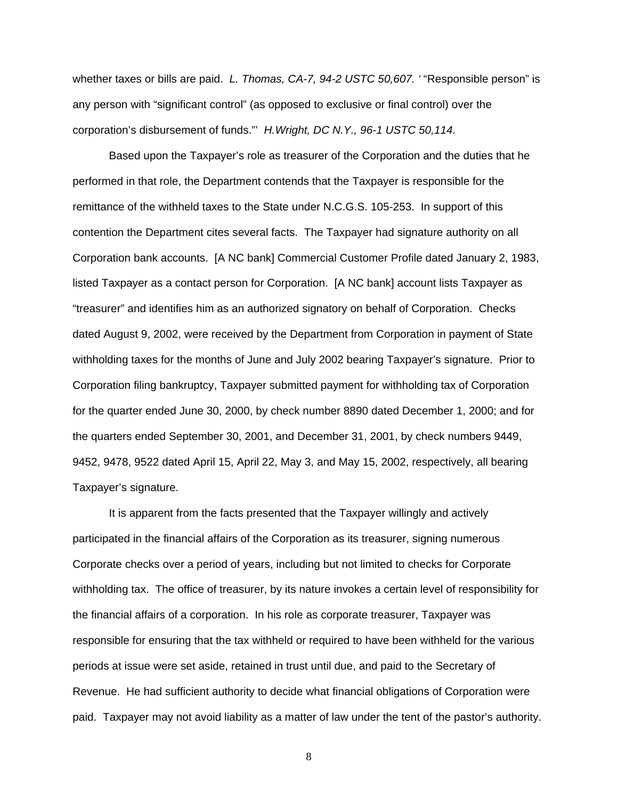whether taxes or bills are paid. *L. Thomas, CA-7, 94-2 USTC 50,607.* "Responsible person" is any person with "significant control" (as opposed to exclusive or final control) over the corporation's disbursement of funds."' *H.Wright, DC N.Y., 96-1 USTC 50,114.*

Based upon the Taxpayer's role as treasurer of the Corporation and the duties that he performed in that role, the Department contends that the Taxpayer is responsible for the remittance of the withheld taxes to the State under N.C.G.S. 105-253. In support of this contention the Department cites several facts. The Taxpayer had signature authority on all Corporation bank accounts. [A NC bank] Commercial Customer Profile dated January 2, 1983, listed Taxpayer as a contact person for Corporation. [A NC bank] account lists Taxpayer as "treasurer" and identifies him as an authorized signatory on behalf of Corporation. Checks dated August 9, 2002, were received by the Department from Corporation in payment of State withholding taxes for the months of June and July 2002 bearing Taxpayer's signature. Prior to Corporation filing bankruptcy, Taxpayer submitted payment for withholding tax of Corporation for the quarter ended June 30, 2000, by check number 8890 dated December 1, 2000; and for the quarters ended September 30, 2001, and December 31, 2001, by check numbers 9449, 9452, 9478, 9522 dated April 15, April 22, May 3, and May 15, 2002, respectively, all bearing Taxpayer's signature.

It is apparent from the facts presented that the Taxpayer willingly and actively participated in the financial affairs of the Corporation as its treasurer, signing numerous Corporate checks over a period of years, including but not limited to checks for Corporate withholding tax. The office of treasurer, by its nature invokes a certain level of responsibility for the financial affairs of a corporation. In his role as corporate treasurer, Taxpayer was responsible for ensuring that the tax withheld or required to have been withheld for the various periods at issue were set aside, retained in trust until due, and paid to the Secretary of Revenue. He had sufficient authority to decide what financial obligations of Corporation were paid. Taxpayer may not avoid liability as a matter of law under the tent of the pastor's authority.

8